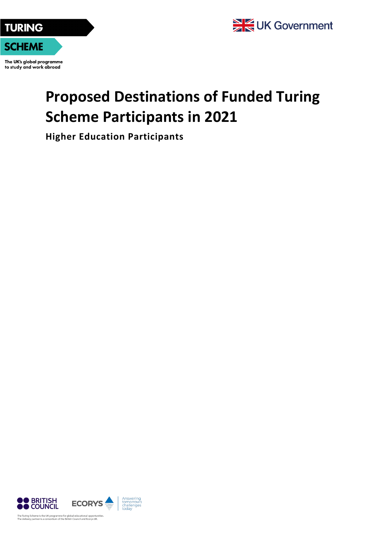



The UK's global programme to study and work abroad

## **Proposed Destinations of Funded Turing Scheme Participants in 2021**

**Higher Education Participants**

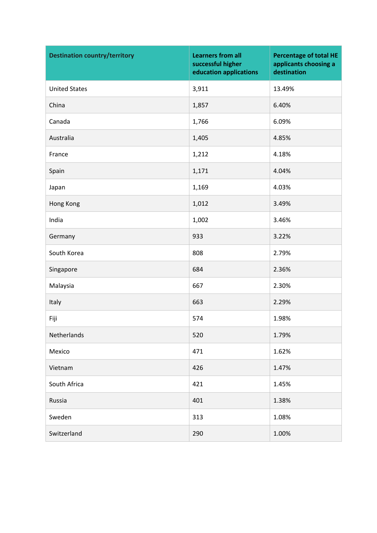| <b>Destination country/territory</b> | <b>Learners from all</b><br>successful higher<br>education applications | <b>Percentage of total HE</b><br>applicants choosing a<br>destination |
|--------------------------------------|-------------------------------------------------------------------------|-----------------------------------------------------------------------|
| <b>United States</b>                 | 3,911                                                                   | 13.49%                                                                |
| China                                | 1,857                                                                   | 6.40%                                                                 |
| Canada                               | 1,766                                                                   | 6.09%                                                                 |
| Australia                            | 1,405                                                                   | 4.85%                                                                 |
| France                               | 1,212                                                                   | 4.18%                                                                 |
| Spain                                | 1,171                                                                   | 4.04%                                                                 |
| Japan                                | 1,169                                                                   | 4.03%                                                                 |
| Hong Kong                            | 1,012                                                                   | 3.49%                                                                 |
| India                                | 1,002                                                                   | 3.46%                                                                 |
| Germany                              | 933                                                                     | 3.22%                                                                 |
| South Korea                          | 808                                                                     | 2.79%                                                                 |
| Singapore                            | 684                                                                     | 2.36%                                                                 |
| Malaysia                             | 667                                                                     | 2.30%                                                                 |
| Italy                                | 663                                                                     | 2.29%                                                                 |
| Fiji                                 | 574                                                                     | 1.98%                                                                 |
| Netherlands                          | 520                                                                     | 1.79%                                                                 |
| Mexico                               | 471                                                                     | 1.62%                                                                 |
| Vietnam                              | 426                                                                     | 1.47%                                                                 |
| South Africa                         | 421                                                                     | 1.45%                                                                 |
| Russia                               | 401                                                                     | 1.38%                                                                 |
| Sweden                               | 313                                                                     | 1.08%                                                                 |
| Switzerland                          | 290                                                                     | 1.00%                                                                 |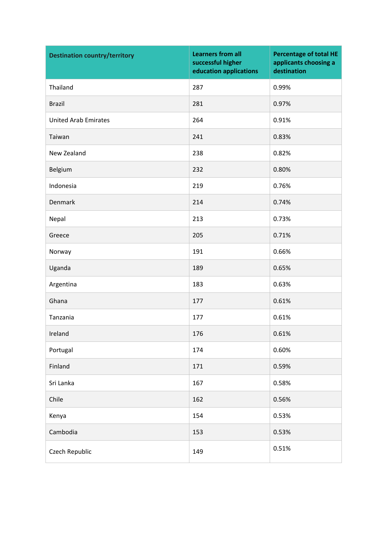| <b>Destination country/territory</b> | <b>Learners from all</b><br>successful higher<br>education applications | <b>Percentage of total HE</b><br>applicants choosing a<br>destination |
|--------------------------------------|-------------------------------------------------------------------------|-----------------------------------------------------------------------|
| Thailand                             | 287                                                                     | 0.99%                                                                 |
| <b>Brazil</b>                        | 281                                                                     | 0.97%                                                                 |
| <b>United Arab Emirates</b>          | 264                                                                     | 0.91%                                                                 |
| Taiwan                               | 241                                                                     | 0.83%                                                                 |
| New Zealand                          | 238                                                                     | 0.82%                                                                 |
| Belgium                              | 232                                                                     | 0.80%                                                                 |
| Indonesia                            | 219                                                                     | 0.76%                                                                 |
| Denmark                              | 214                                                                     | 0.74%                                                                 |
| Nepal                                | 213                                                                     | 0.73%                                                                 |
| Greece                               | 205                                                                     | 0.71%                                                                 |
| Norway                               | 191                                                                     | 0.66%                                                                 |
| Uganda                               | 189                                                                     | 0.65%                                                                 |
| Argentina                            | 183                                                                     | 0.63%                                                                 |
| Ghana                                | 177                                                                     | 0.61%                                                                 |
| Tanzania                             | 177                                                                     | 0.61%                                                                 |
| Ireland                              | 176                                                                     | 0.61%                                                                 |
| Portugal                             | 174                                                                     | 0.60%                                                                 |
| Finland                              | 171                                                                     | 0.59%                                                                 |
| Sri Lanka                            | 167                                                                     | 0.58%                                                                 |
| Chile                                | 162                                                                     | 0.56%                                                                 |
| Kenya                                | 154                                                                     | 0.53%                                                                 |
| Cambodia                             | 153                                                                     | 0.53%                                                                 |
| Czech Republic                       | 149                                                                     | 0.51%                                                                 |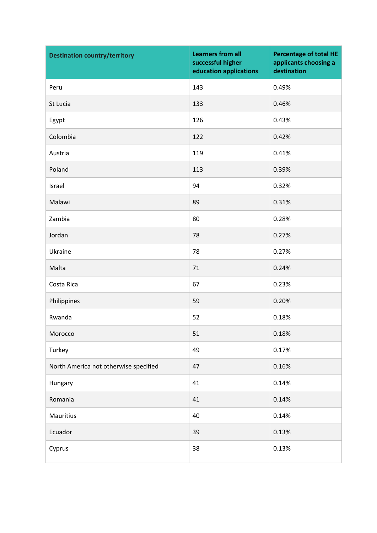| <b>Destination country/territory</b>  | <b>Learners from all</b><br>successful higher<br>education applications | <b>Percentage of total HE</b><br>applicants choosing a<br>destination |
|---------------------------------------|-------------------------------------------------------------------------|-----------------------------------------------------------------------|
| Peru                                  | 143                                                                     | 0.49%                                                                 |
| St Lucia                              | 133                                                                     | 0.46%                                                                 |
| Egypt                                 | 126                                                                     | 0.43%                                                                 |
| Colombia                              | 122                                                                     | 0.42%                                                                 |
| Austria                               | 119                                                                     | 0.41%                                                                 |
| Poland                                | 113                                                                     | 0.39%                                                                 |
| Israel                                | 94                                                                      | 0.32%                                                                 |
| Malawi                                | 89                                                                      | 0.31%                                                                 |
| Zambia                                | 80                                                                      | 0.28%                                                                 |
| Jordan                                | 78                                                                      | 0.27%                                                                 |
| Ukraine                               | 78                                                                      | 0.27%                                                                 |
| Malta                                 | 71                                                                      | 0.24%                                                                 |
| Costa Rica                            | 67                                                                      | 0.23%                                                                 |
| Philippines                           | 59                                                                      | 0.20%                                                                 |
| Rwanda                                | 52                                                                      | 0.18%                                                                 |
| Morocco                               | 51                                                                      | 0.18%                                                                 |
| Turkey                                | 49                                                                      | 0.17%                                                                 |
| North America not otherwise specified | 47                                                                      | 0.16%                                                                 |
| Hungary                               | 41                                                                      | 0.14%                                                                 |
| Romania                               | 41                                                                      | 0.14%                                                                 |
| Mauritius                             | 40                                                                      | 0.14%                                                                 |
| Ecuador                               | 39                                                                      | 0.13%                                                                 |
| Cyprus                                | 38                                                                      | 0.13%                                                                 |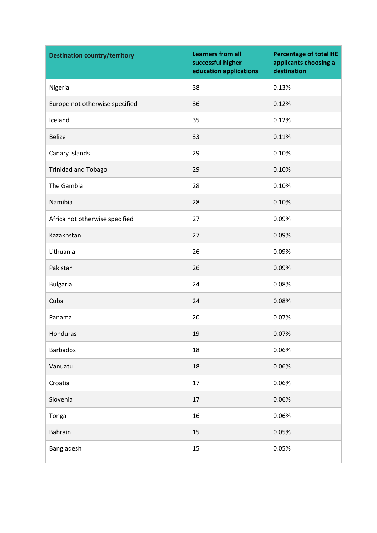| <b>Destination country/territory</b> | <b>Learners from all</b><br>successful higher<br>education applications | <b>Percentage of total HE</b><br>applicants choosing a<br>destination |
|--------------------------------------|-------------------------------------------------------------------------|-----------------------------------------------------------------------|
| Nigeria                              | 38                                                                      | 0.13%                                                                 |
| Europe not otherwise specified       | 36                                                                      | 0.12%                                                                 |
| Iceland                              | 35                                                                      | 0.12%                                                                 |
| <b>Belize</b>                        | 33                                                                      | 0.11%                                                                 |
| Canary Islands                       | 29                                                                      | 0.10%                                                                 |
| <b>Trinidad and Tobago</b>           | 29                                                                      | 0.10%                                                                 |
| The Gambia                           | 28                                                                      | 0.10%                                                                 |
| Namibia                              | 28                                                                      | 0.10%                                                                 |
| Africa not otherwise specified       | 27                                                                      | 0.09%                                                                 |
| Kazakhstan                           | 27                                                                      | 0.09%                                                                 |
| Lithuania                            | 26                                                                      | 0.09%                                                                 |
| Pakistan                             | 26                                                                      | 0.09%                                                                 |
| <b>Bulgaria</b>                      | 24                                                                      | 0.08%                                                                 |
| Cuba                                 | 24                                                                      | 0.08%                                                                 |
| Panama                               | 20                                                                      | 0.07%                                                                 |
| Honduras                             | 19                                                                      | 0.07%                                                                 |
| <b>Barbados</b>                      | 18                                                                      | 0.06%                                                                 |
| Vanuatu                              | 18                                                                      | 0.06%                                                                 |
| Croatia                              | 17                                                                      | 0.06%                                                                 |
| Slovenia                             | 17                                                                      | 0.06%                                                                 |
| Tonga                                | 16                                                                      | 0.06%                                                                 |
| Bahrain                              | 15                                                                      | 0.05%                                                                 |
| Bangladesh                           | 15                                                                      | 0.05%                                                                 |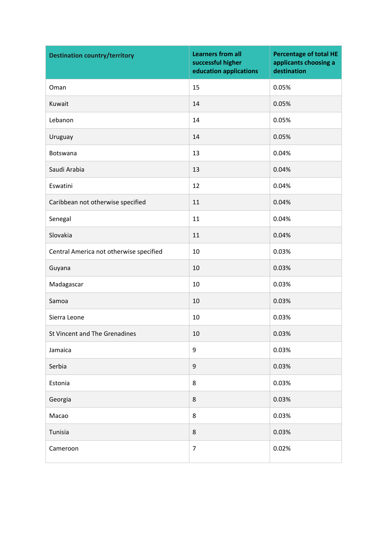| <b>Destination country/territory</b>    | <b>Learners from all</b><br>successful higher<br>education applications | <b>Percentage of total HE</b><br>applicants choosing a<br>destination |
|-----------------------------------------|-------------------------------------------------------------------------|-----------------------------------------------------------------------|
| Oman                                    | 15                                                                      | 0.05%                                                                 |
| Kuwait                                  | 14                                                                      | 0.05%                                                                 |
| Lebanon                                 | 14                                                                      | 0.05%                                                                 |
| Uruguay                                 | 14                                                                      | 0.05%                                                                 |
| Botswana                                | 13                                                                      | 0.04%                                                                 |
| Saudi Arabia                            | 13                                                                      | 0.04%                                                                 |
| Eswatini                                | 12                                                                      | 0.04%                                                                 |
| Caribbean not otherwise specified       | 11                                                                      | 0.04%                                                                 |
| Senegal                                 | 11                                                                      | 0.04%                                                                 |
| Slovakia                                | 11                                                                      | 0.04%                                                                 |
| Central America not otherwise specified | 10                                                                      | 0.03%                                                                 |
| Guyana                                  | 10                                                                      | 0.03%                                                                 |
| Madagascar                              | 10                                                                      | 0.03%                                                                 |
| Samoa                                   | 10                                                                      | 0.03%                                                                 |
| Sierra Leone                            | 10                                                                      | 0.03%                                                                 |
| St Vincent and The Grenadines           | 10                                                                      | 0.03%                                                                 |
| Jamaica                                 | 9                                                                       | 0.03%                                                                 |
| Serbia                                  | $\boldsymbol{9}$                                                        | 0.03%                                                                 |
| Estonia                                 | 8                                                                       | 0.03%                                                                 |
| Georgia                                 | 8                                                                       | 0.03%                                                                 |
| Macao                                   | 8                                                                       | 0.03%                                                                 |
| Tunisia                                 | $\,8\,$                                                                 | 0.03%                                                                 |
| Cameroon                                | $\overline{7}$                                                          | 0.02%                                                                 |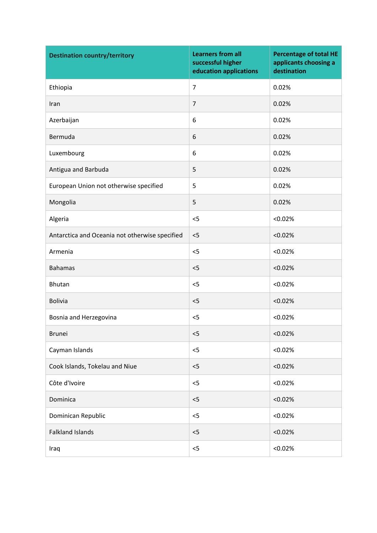| <b>Destination country/territory</b>           | <b>Learners from all</b><br>successful higher<br>education applications | <b>Percentage of total HE</b><br>applicants choosing a<br>destination |
|------------------------------------------------|-------------------------------------------------------------------------|-----------------------------------------------------------------------|
| Ethiopia                                       | $\overline{7}$                                                          | 0.02%                                                                 |
| Iran                                           | $\overline{7}$                                                          | 0.02%                                                                 |
| Azerbaijan                                     | 6                                                                       | 0.02%                                                                 |
| Bermuda                                        | 6                                                                       | 0.02%                                                                 |
| Luxembourg                                     | 6                                                                       | 0.02%                                                                 |
| Antigua and Barbuda                            | 5                                                                       | 0.02%                                                                 |
| European Union not otherwise specified         | 5                                                                       | 0.02%                                                                 |
| Mongolia                                       | 5                                                                       | 0.02%                                                                 |
| Algeria                                        | $<$ 5                                                                   | < 0.02%                                                               |
| Antarctica and Oceania not otherwise specified | < 5                                                                     | < 0.02%                                                               |
| Armenia                                        | $<$ 5                                                                   | < 0.02%                                                               |
| <b>Bahamas</b>                                 | $<$ 5                                                                   | < 0.02%                                                               |
| <b>Bhutan</b>                                  | $<$ 5                                                                   | < 0.02%                                                               |
| <b>Bolivia</b>                                 | $<$ 5                                                                   | < 0.02%                                                               |
| Bosnia and Herzegovina                         | $<$ 5                                                                   | < 0.02%                                                               |
| <b>Brunei</b>                                  | $<$ 5                                                                   | < 0.02%                                                               |
| Cayman Islands                                 | $<$ 5                                                                   | < 0.02%                                                               |
| Cook Islands, Tokelau and Niue                 | $<$ 5                                                                   | < 0.02%                                                               |
| Côte d'Ivoire                                  | $<$ 5                                                                   | < 0.02%                                                               |
| Dominica                                       | $<$ 5                                                                   | < 0.02%                                                               |
| Dominican Republic                             | < 5                                                                     | < 0.02%                                                               |
| <b>Falkland Islands</b>                        | $<$ 5                                                                   | < 0.02%                                                               |
| Iraq                                           | $<$ 5                                                                   | < 0.02%                                                               |